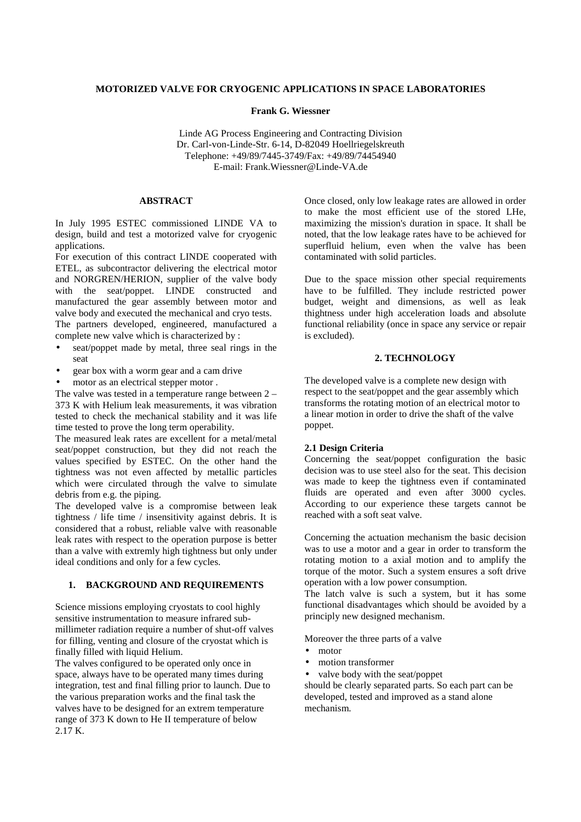### **MOTORIZED VALVE FOR CRYOGENIC APPLICATIONS IN SPACE LABORATORIES**

**Frank G. Wiessner**

Linde AG Process Engineering and Contracting Division Dr. Carl-von-Linde-Str. 6-14, D-82049 Hoellriegelskreuth Telephone: +49/89/7445-3749/Fax: +49/89/74454940 E-mail: Frank.Wiessner@Linde-VA.de

# **ABSTRACT**

In July 1995 ESTEC commissioned LINDE VA to design, build and test a motorized valve for cryogenic applications.

For execution of this contract LINDE cooperated with ETEL, as subcontractor delivering the electrical motor and NORGREN/HERION, supplier of the valve body with the seat/poppet. LINDE constructed and manufactured the gear assembly between motor and valve body and executed the mechanical and cryo tests. The partners developed, engineered, manufactured a

complete new valve which is characterized by :

- seat/poppet made by metal, three seal rings in the seat
- gear box with a worm gear and a cam drive
- motor as an electrical stepper motor.

The valve was tested in a temperature range between 2 – 373 K with Helium leak measurements, it was vibration tested to check the mechanical stability and it was life time tested to prove the long term operability.

The measured leak rates are excellent for a metal/metal seat/poppet construction, but they did not reach the values specified by ESTEC. On the other hand the tightness was not even affected by metallic particles which were circulated through the valve to simulate debris from e.g. the piping.

The developed valve is a compromise between leak tightness / life time / insensitivity against debris. It is considered that a robust, reliable valve with reasonable leak rates with respect to the operation purpose is better than a valve with extremly high tightness but only under ideal conditions and only for a few cycles.

# **1. BACKGROUND AND REQUIREMENTS**

Science missions employing cryostats to cool highly sensitive instrumentation to measure infrared submillimeter radiation require a number of shut-off valves for filling, venting and closure of the cryostat which is finally filled with liquid Helium.

The valves configured to be operated only once in space, always have to be operated many times during integration, test and final filling prior to launch. Due to the various preparation works and the final task the valves have to be designed for an extrem temperature range of 373 K down to He II temperature of below 2.17 K.

Once closed, only low leakage rates are allowed in order to make the most efficient use of the stored LHe, maximizing the mission's duration in space. It shall be noted, that the low leakage rates have to be achieved for superfluid helium, even when the valve has been contaminated with solid particles.

Due to the space mission other special requirements have to be fulfilled. They include restricted power budget, weight and dimensions, as well as leak thightness under high acceleration loads and absolute functional reliability (once in space any service or repair is excluded).

# **2. TECHNOLOGY**

The developed valve is a complete new design with respect to the seat/poppet and the gear assembly which transforms the rotating motion of an electrical motor to a linear motion in order to drive the shaft of the valve poppet.

## **2.1 Design Criteria**

Concerning the seat/poppet configuration the basic decision was to use steel also for the seat. This decision was made to keep the tightness even if contaminated fluids are operated and even after 3000 cycles. According to our experience these targets cannot be reached with a soft seat valve.

Concerning the actuation mechanism the basic decision was to use a motor and a gear in order to transform the rotating motion to a axial motion and to amplify the torque of the motor. Such a system ensures a soft drive operation with a low power consumption.

The latch valve is such a system, but it has some functional disadvantages which should be avoided by a principly new designed mechanism.

Moreover the three parts of a valve

- motor
- motion transformer
- valve body with the seat/poppet

should be clearly separated parts. So each part can be developed, tested and improved as a stand alone mechanism.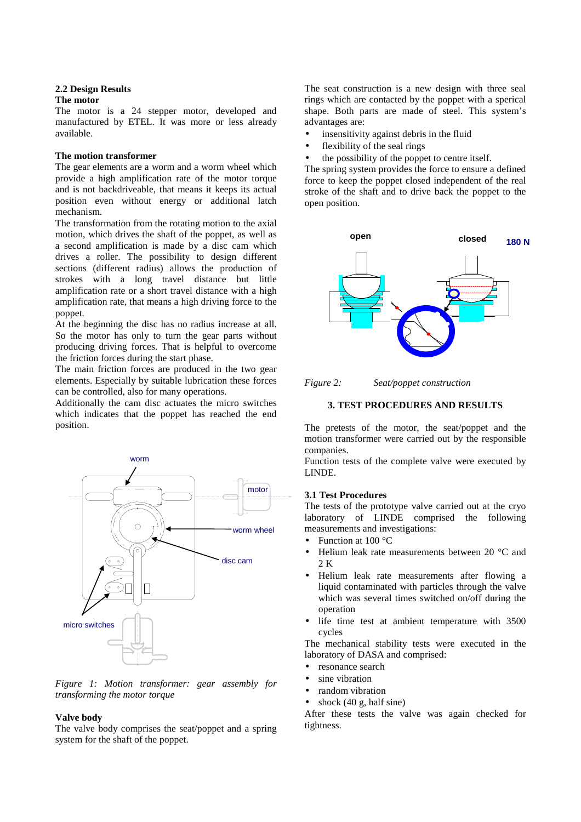#### **2.2 Design Results**

#### **The motor**

The motor is a 24 stepper motor, developed and manufactured by ETEL. It was more or less already available.

## **The motion transformer**

The gear elements are a worm and a worm wheel which provide a high amplification rate of the motor torque and is not backdriveable, that means it keeps its actual position even without energy or additional latch mechanism.

The transformation from the rotating motion to the axial motion, which drives the shaft of the poppet, as well as a second amplification is made by a disc cam which drives a roller. The possibility to design different sections (different radius) allows the production of strokes with a long travel distance but little amplification rate or a short travel distance with a high amplification rate, that means a high driving force to the poppet.

At the beginning the disc has no radius increase at all. So the motor has only to turn the gear parts without producing driving forces. That is helpful to overcome the friction forces during the start phase.

The main friction forces are produced in the two gear elements. Especially by suitable lubrication these forces can be controlled, also for many operations.

Additionally the cam disc actuates the micro switches which indicates that the poppet has reached the end position.



*Figure 1: Motion transformer: gear assembly for transforming the motor torque*

#### **Valve body**

The valve body comprises the seat/poppet and a spring system for the shaft of the poppet.

The seat construction is a new design with three seal rings which are contacted by the poppet with a sperical shape. Both parts are made of steel. This system's advantages are:

- insensitivity against debris in the fluid
- flexibility of the seal rings
- the possibility of the poppet to centre itself.

The spring system provides the force to ensure a defined force to keep the poppet closed independent of the real stroke of the shaft and to drive back the poppet to the open position.



*Figure 2: Seat/poppet construction*

### **3. TEST PROCEDURES AND RESULTS**

The pretests of the motor, the seat/poppet and the motion transformer were carried out by the responsible companies.

Function tests of the complete valve were executed by LINDE.

## **3.1 Test Procedures**

The tests of the prototype valve carried out at the cryo laboratory of LINDE comprised the following measurements and investigations:

- Function at 100 °C
- Helium leak rate measurements between 20 °C and  $2 K$
- Helium leak rate measurements after flowing a liquid contaminated with particles through the valve which was several times switched on/off during the operation
- life time test at ambient temperature with 3500 cycles

The mechanical stability tests were executed in the laboratory of DASA and comprised:

- resonance search
- sine vibration
- random vibration
- shock  $(40 \text{ g}, \text{half sine})$

After these tests the valve was again checked for tightness.